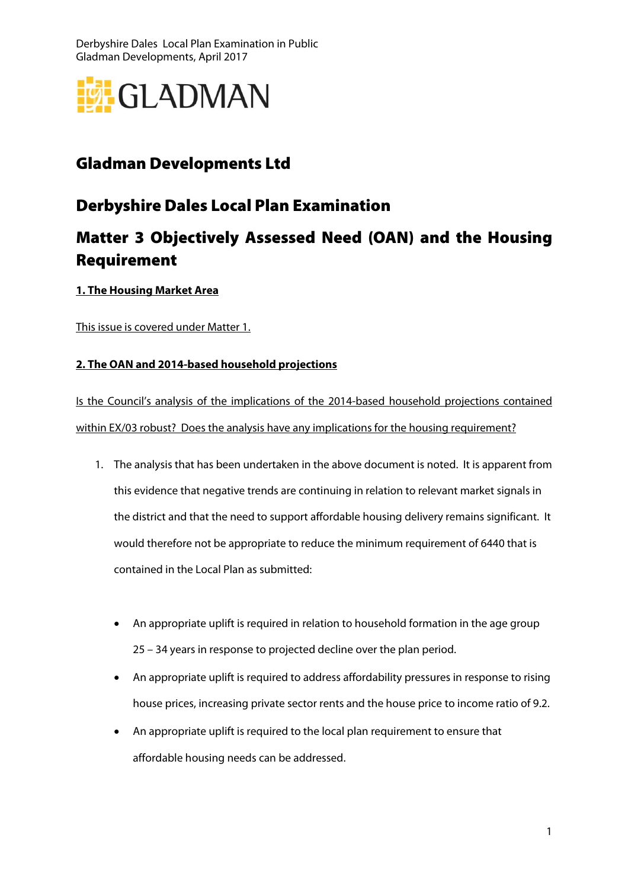Derbyshire Dales Local Plan Examination in Public Gladman Developments, April 2017



## Gladman Developments Ltd

## Derbyshire Dales Local Plan Examination

# Matter 3 Objectively Assessed Need (OAN) and the Housing Requirement

#### **1. The Housing Market Area**

This issue is covered under Matter 1.

#### **2. The OAN and 2014-based household projections**

Is the Council's analysis of the implications of the 2014-based household projections contained within EX/03 robust? Does the analysis have any implications for the housing requirement?

- 1. The analysis that has been undertaken in the above document is noted. It is apparent from this evidence that negative trends are continuing in relation to relevant market signals in the district and that the need to support affordable housing delivery remains significant. It would therefore not be appropriate to reduce the minimum requirement of 6440 that is contained in the Local Plan as submitted:
	- An appropriate uplift is required in relation to household formation in the age group 25 – 34 years in response to projected decline over the plan period.
	- An appropriate uplift is required to address affordability pressures in response to rising house prices, increasing private sector rents and the house price to income ratio of 9.2.
	- An appropriate uplift is required to the local plan requirement to ensure that affordable housing needs can be addressed.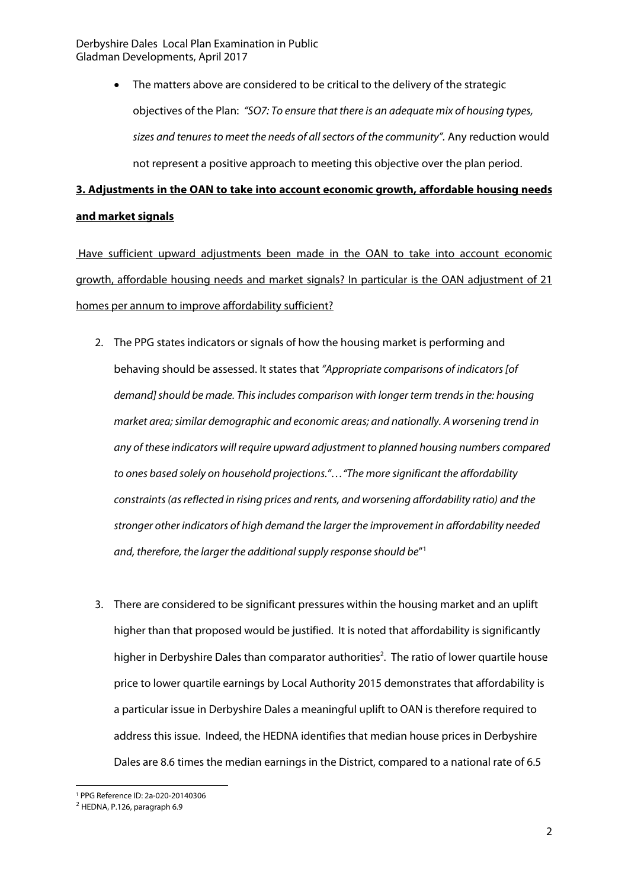Derbyshire Dales Local Plan Examination in Public Gladman Developments, April 2017

> The matters above are considered to be critical to the delivery of the strategic objectives of the Plan: "SO7: To ensure that there is an adequate mix of housing types, sizes and tenures to meet the needs of all sectors of the community". Any reduction would not represent a positive approach to meeting this objective over the plan period.

## **3. Adjustments in the OAN to take into account economic growth, affordable housing needs and market signals**

 Have sufficient upward adjustments been made in the OAN to take into account economic growth, affordable housing needs and market signals? In particular is the OAN adjustment of 21 homes per annum to improve affordability sufficient?

- 2. The PPG states indicators or signals of how the housing market is performing and behaving should be assessed. It states that "Appropriate comparisons of indicators [of demand] should be made. This includes comparison with longer term trends in the: housing market area; similar demographic and economic areas; and nationally. A worsening trend in any of these indicators will require upward adjustment to planned housing numbers compared to ones based solely on household projections."…"The more significant the affordability constraints (as reflected in rising prices and rents, and worsening affordability ratio) and the stronger other indicators of high demand the larger the improvement in affordability needed and, therefore, the larger the additional supply response should be" 1
- 3. There are considered to be significant pressures within the housing market and an uplift higher than that proposed would be justified. It is noted that affordability is significantly higher in Derbyshire Dales than comparator authorities<sup>2</sup>. The ratio of lower quartile house price to lower quartile earnings by Local Authority 2015 demonstrates that affordability is a particular issue in Derbyshire Dales a meaningful uplift to OAN is therefore required to address this issue. Indeed, the HEDNA identifies that median house prices in Derbyshire Dales are 8.6 times the median earnings in the District, compared to a national rate of 6.5

 $\overline{a}$ 1 PPG Reference ID: 2a-020-20140306

<sup>2</sup> HEDNA, P.126, paragraph 6.9